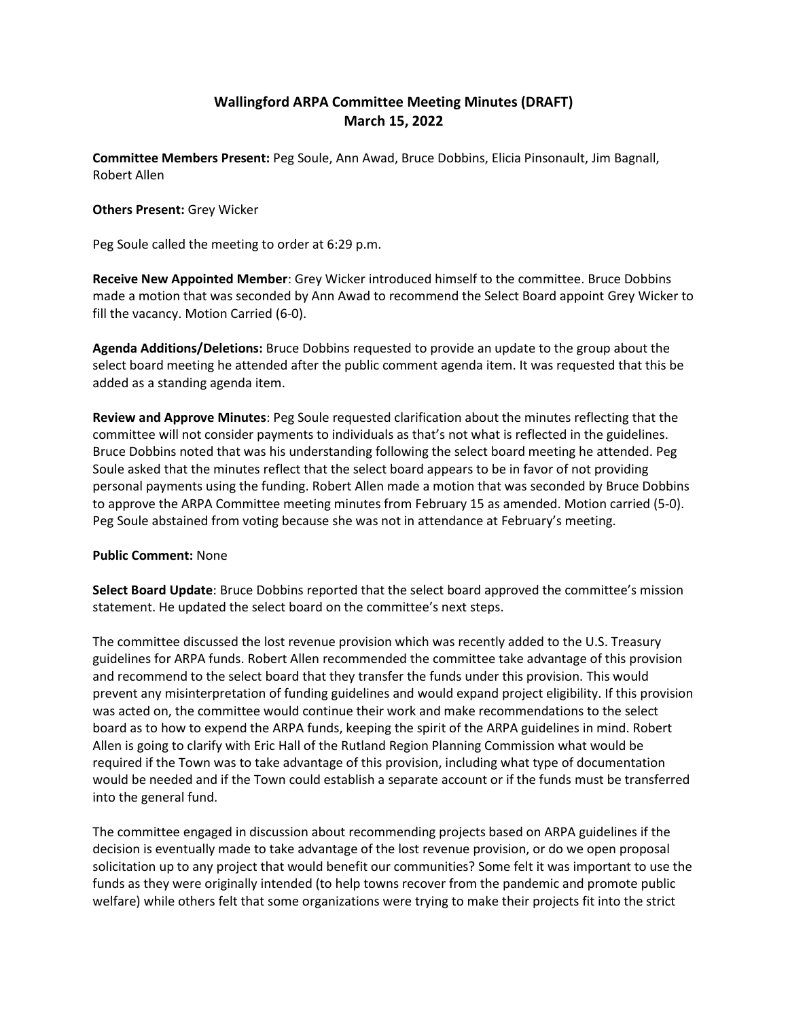## **Wallingford ARPA Committee Meeting Minutes (DRAFT) March 15, 2022**

**Committee Members Present:** Peg Soule, Ann Awad, Bruce Dobbins, Elicia Pinsonault, Jim Bagnall, Robert Allen

## **Others Present:** Grey Wicker

Peg Soule called the meeting to order at 6:29 p.m.

**Receive New Appointed Member**: Grey Wicker introduced himself to the committee. Bruce Dobbins made a motion that was seconded by Ann Awad to recommend the Select Board appoint Grey Wicker to fill the vacancy. Motion Carried (6-0).

**Agenda Additions/Deletions:** Bruce Dobbins requested to provide an update to the group about the select board meeting he attended after the public comment agenda item. It was requested that this be added as a standing agenda item.

**Review and Approve Minutes**: Peg Soule requested clarification about the minutes reflecting that the committee will not consider payments to individuals as that's not what is reflected in the guidelines. Bruce Dobbins noted that was his understanding following the select board meeting he attended. Peg Soule asked that the minutes reflect that the select board appears to be in favor of not providing personal payments using the funding. Robert Allen made a motion that was seconded by Bruce Dobbins to approve the ARPA Committee meeting minutes from February 15 as amended. Motion carried (5-0). Peg Soule abstained from voting because she was not in attendance at February's meeting.

## **Public Comment:** None

**Select Board Update**: Bruce Dobbins reported that the select board approved the committee's mission statement. He updated the select board on the committee's next steps.

The committee discussed the lost revenue provision which was recently added to the U.S. Treasury guidelines for ARPA funds. Robert Allen recommended the committee take advantage of this provision and recommend to the select board that they transfer the funds under this provision. This would prevent any misinterpretation of funding guidelines and would expand project eligibility. If this provision was acted on, the committee would continue their work and make recommendations to the select board as to how to expend the ARPA funds, keeping the spirit of the ARPA guidelines in mind. Robert Allen is going to clarify with Eric Hall of the Rutland Region Planning Commission what would be required if the Town was to take advantage of this provision, including what type of documentation would be needed and if the Town could establish a separate account or if the funds must be transferred into the general fund.

The committee engaged in discussion about recommending projects based on ARPA guidelines if the decision is eventually made to take advantage of the lost revenue provision, or do we open proposal solicitation up to any project that would benefit our communities? Some felt it was important to use the funds as they were originally intended (to help towns recover from the pandemic and promote public welfare) while others felt that some organizations were trying to make their projects fit into the strict